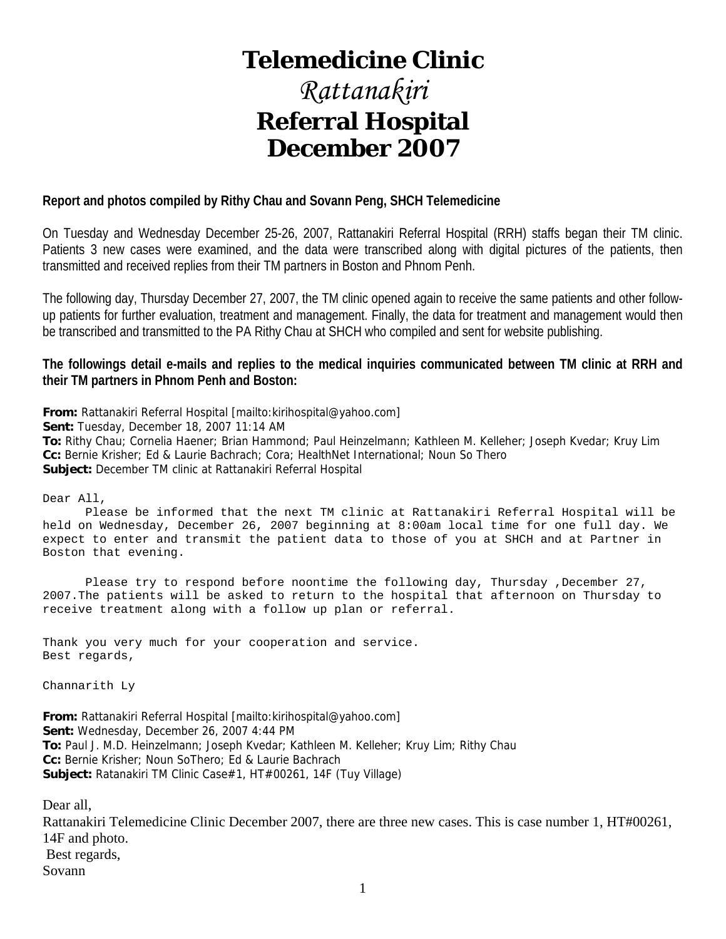# **Telemedicine Clinic**

# *Rattanakiri*  **Referral Hospital December 2007**

#### **Report and photos compiled by Rithy Chau and Sovann Peng, SHCH Telemedicine**

On Tuesday and Wednesday December 25-26, 2007, Rattanakiri Referral Hospital (RRH) staffs began their TM clinic. Patients 3 new cases were examined, and the data were transcribed along with digital pictures of the patients, then transmitted and received replies from their TM partners in Boston and Phnom Penh.

The following day, Thursday December 27, 2007, the TM clinic opened again to receive the same patients and other followup patients for further evaluation, treatment and management. Finally, the data for treatment and management would then be transcribed and transmitted to the PA Rithy Chau at SHCH who compiled and sent for website publishing.

**The followings detail e-mails and replies to the medical inquiries communicated between TM clinic at RRH and their TM partners in Phnom Penh and Boston:** 

**From:** Rattanakiri Referral Hospital [mailto:kirihospital@yahoo.com]

**Sent:** Tuesday, December 18, 2007 11:14 AM

**To:** Rithy Chau; Cornelia Haener; Brian Hammond; Paul Heinzelmann; Kathleen M. Kelleher; Joseph Kvedar; Kruy Lim **Cc:** Bernie Krisher; Ed & Laurie Bachrach; Cora; HealthNet International; Noun So Thero **Subject:** December TM clinic at Rattanakiri Referral Hospital

Dear All,

 Please be informed that the next TM clinic at Rattanakiri Referral Hospital will be held on Wednesday, December 26, 2007 beginning at 8:00am local time for one full day. We expect to enter and transmit the patient data to those of you at SHCH and at Partner in Boston that evening.

Please try to respond before noontime the following day, Thursday ,December 27, 2007.The patients will be asked to return to the hospital that afternoon on Thursday to receive treatment along with a follow up plan or referral.

Thank you very much for your cooperation and service. Best regards,

Channarith Ly

**From:** Rattanakiri Referral Hospital [mailto:kirihospital@yahoo.com] **Sent:** Wednesday, December 26, 2007 4:44 PM **To:** Paul J. M.D. Heinzelmann; Joseph Kvedar; Kathleen M. Kelleher; Kruy Lim; Rithy Chau **Cc:** Bernie Krisher; Noun SoThero; Ed & Laurie Bachrach **Subject:** Ratanakiri TM Clinic Case#1, HT#00261, 14F (Tuy Village)

Dear all,

Rattanakiri Telemedicine Clinic December 2007, there are three new cases. This is case number 1, HT#00261, 14F and photo. Best regards, Sovann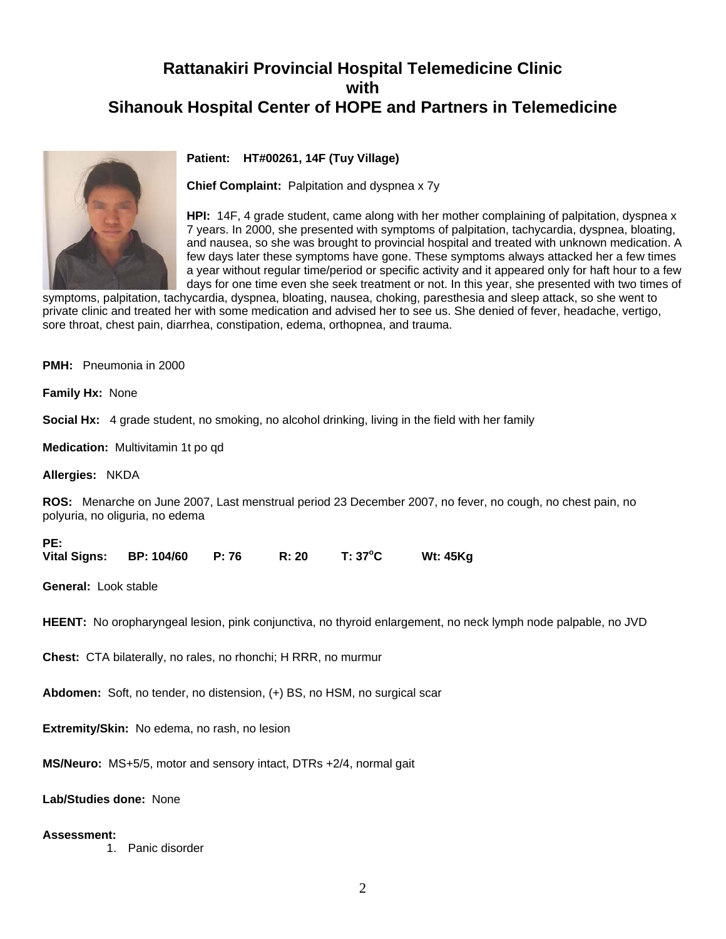### **Rattanakiri Provincial Hospital Telemedicine Clinic with Sihanouk Hospital Center of HOPE and Partners in Telemedicine**



#### **Patient: HT#00261, 14F (Tuy Village)**

**Chief Complaint:** Palpitation and dyspnea x 7y

few days later these symptoms have gone. These symptoms always attacked her a few times days for one time even she seek treatment or not. In this year, she presented with two times of **HPI:** 14F, 4 grade student, came along with her mother complaining of palpitation, dyspnea x 7 years. In 2000, she presented with symptoms of palpitation, tachycardia, dyspnea, bloating, and nausea, so she was brought to provincial hospital and treated with unknown medication. A a year without regular time/period or specific activity and it appeared only for haft hour to a few

symptoms, palpitation, tachycardia, dyspnea, bloating, nausea, choking, paresthesia and sleep attack, so she went to private clinic and treated her with some medication and advised her to see us. She denied of fever, headache, vertigo, sore throat, chest pain, diarrhea, constipation, edema, orthopnea, and trauma.

**PMH:** Pneumonia in 2000

**Family Hx:** None

**Social Hx:** 4 grade student, no smoking, no alcohol drinking, living in the field with her family

**Medication:** Multivitamin 1t po qd

**Allergies:** NKDA

**PE:** 

**ROS:** Menarche on June 2007, Last menstrual period 23 December 2007, no fever, no cough, no chest pain, no polyuria, no oliguria, no edema

| PC.                 |                   |       |       |         |                 |
|---------------------|-------------------|-------|-------|---------|-----------------|
| <b>Vital Signs:</b> | <b>BP: 104/60</b> | P: 76 | R: 20 | T: 37°C | <b>Wt: 45Kg</b> |

**General:** Look stable

**HEENT:** No oropharyngeal lesion, pink conjunctiva, no thyroid enlargement, no neck lymph node palpable, no JVD

**Chest:** CTA bilaterally, no rales, no rhonchi; H RRR, no murmur

**Abdomen:** Soft, no tender, no distension, (+) BS, no HSM, no surgical scar

**Extremity/Skin:** No edema, no rash, no lesion

**MS/Neuro:** MS+5/5, motor and sensory intact, DTRs +2/4, normal gait

**Lab/Studies done:** None

#### **Assessment:**

1. Panic disorder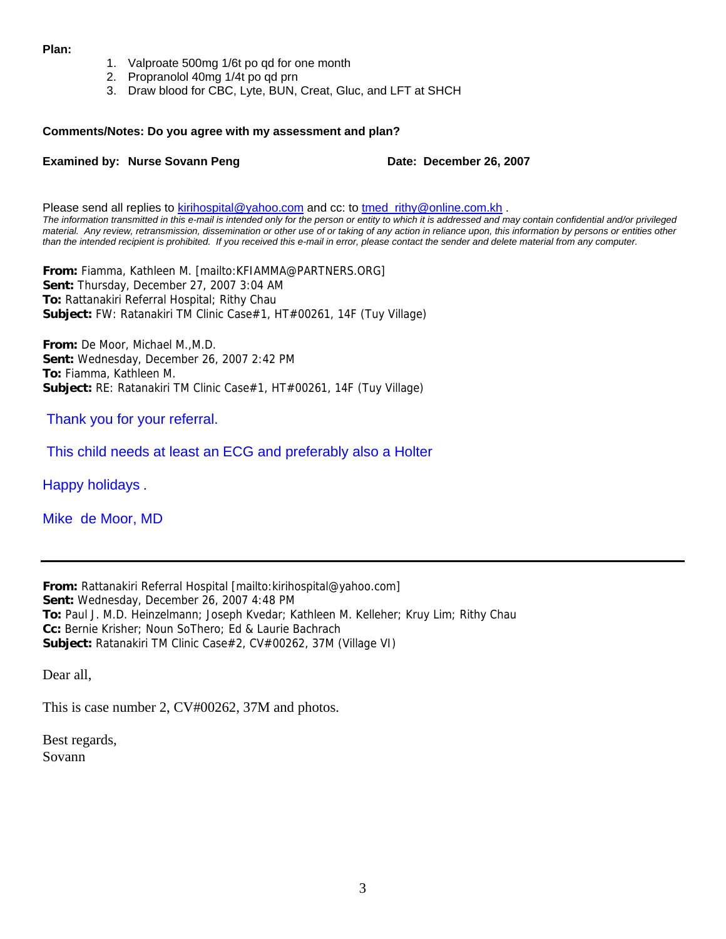#### **Plan:**

- 1. Valproate 500mg 1/6t po qd for one month
- 2. Propranolol 40mg 1/4t po qd prn
- 3. Draw blood for CBC, Lyte, BUN, Creat, Gluc, and LFT at SHCH

#### **Comments/Notes: Do you agree with my assessment and plan?**

#### **Examined by: Nurse Sovann Peng Date: December 26, 2007**

Please send all replies to [kirihospital@yahoo.com](mailto:kirihospital@yahoo.com) and cc: to [tmed\\_rithy@online.com.kh](mailto:tmed_rithy@bigpond.com.kh) . *The information transmitted in this e-mail is intended only for the person or entity to which it is addressed and may contain confidential and/or privileged material. Any review, retransmission, dissemination or other use of or taking of any action in reliance upon, this information by persons or entities other than the intended recipient is prohibited. If you received this e-mail in error, please contact the sender and delete material from any computer.*

**From:** Fiamma, Kathleen M. [mailto:KFIAMMA@PARTNERS.ORG] **Sent:** Thursday, December 27, 2007 3:04 AM **To:** Rattanakiri Referral Hospital; Rithy Chau **Subject:** FW: Ratanakiri TM Clinic Case#1, HT#00261, 14F (Tuy Village)

**From:** De Moor, Michael M.,M.D. **Sent:** Wednesday, December 26, 2007 2:42 PM **To:** Fiamma, Kathleen M. **Subject:** RE: Ratanakiri TM Clinic Case#1, HT#00261, 14F (Tuy Village)

#### Thank you for your referral.

This child needs at least an ECG and preferably also a Holter

Happy holidays .

Mike de Moor, MD

**From:** Rattanakiri Referral Hospital [mailto:kirihospital@yahoo.com] **Sent:** Wednesday, December 26, 2007 4:48 PM **To:** Paul J. M.D. Heinzelmann; Joseph Kvedar; Kathleen M. Kelleher; Kruy Lim; Rithy Chau **Cc:** Bernie Krisher; Noun SoThero; Ed & Laurie Bachrach **Subject:** Ratanakiri TM Clinic Case#2, CV#00262, 37M (Village VI)

Dear all,

This is case number 2, CV#00262, 37M and photos.

Best regards, Sovann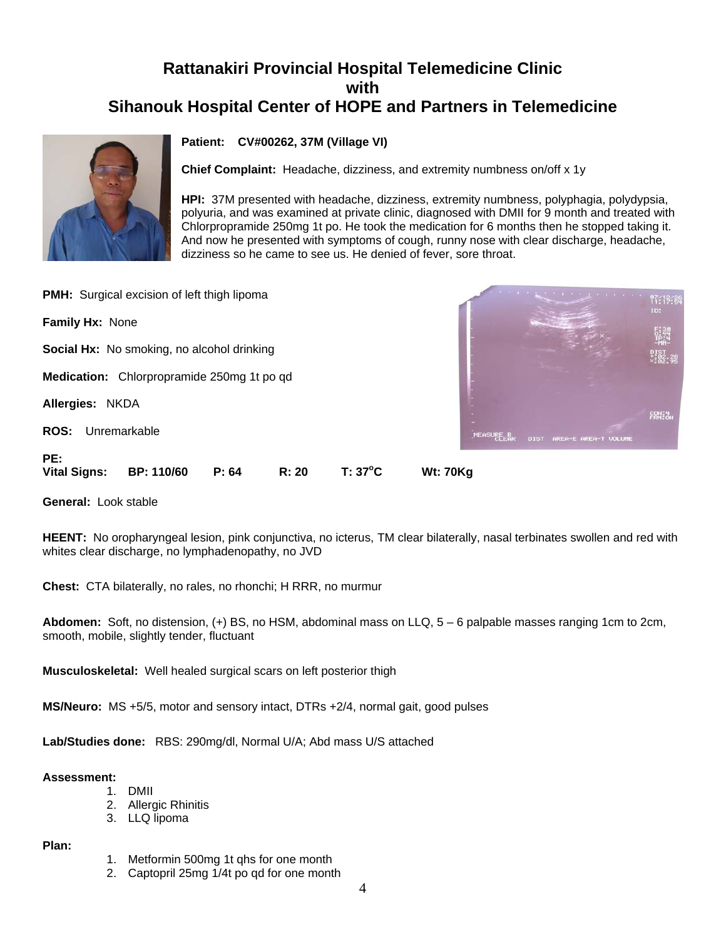### **Rattanakiri Provincial Hospital Telemedicine Clinic with Sihanouk Hospital Center of HOPE and Partners in Telemedicine**



#### **Patient: CV#00262, 37M (Village VI)**

**Chief Complaint:** Headache, dizziness, and extremity numbness on/off x 1y

**HPI:** 37M presented with headache, dizziness, extremity numbness, polyphagia, polydypsia, polyuria, and was examined at private clinic, diagnosed with DMII for 9 month and treated with Chlorpropramide 250mg 1t po. He took the medication for 6 months then he stopped taking it. And now he presented with symptoms of cough, runny nose with clear discharge, headache, dizziness so he came to see us. He denied of fever, sore throat.

| <b>PMH:</b> Surgical excision of left thigh lipoma                                                       | <b>CONTRACTOR</b><br><b>97:13:34</b>             |
|----------------------------------------------------------------------------------------------------------|--------------------------------------------------|
| Family Hx: None                                                                                          | ID:                                              |
| <b>Social Hx:</b> No smoking, no alcohol drinking                                                        | $\frac{1}{2}$                                    |
| Medication: Chlorpropramide 250mg 1t po qd                                                               |                                                  |
| Allergies: NKDA                                                                                          | 段推進                                              |
| <b>ROS:</b><br>Unremarkable                                                                              | <b>MEASURE B</b><br>AREA-E AREA-T VOLUME<br>DIST |
| PE:<br>$T: 37^{\circ}C$<br>P: 64<br>R: 20<br><b>Vital Signs:</b><br><b>BP: 110/60</b><br><b>Wt: 70Kg</b> |                                                  |

**General:** Look stable

**HEENT:** No oropharyngeal lesion, pink conjunctiva, no icterus, TM clear bilaterally, nasal terbinates swollen and red with whites clear discharge, no lymphadenopathy, no JVD

**Chest:** CTA bilaterally, no rales, no rhonchi; H RRR, no murmur

**Abdomen:** Soft, no distension, (+) BS, no HSM, abdominal mass on LLQ, 5 – 6 palpable masses ranging 1cm to 2cm, smooth, mobile, slightly tender, fluctuant

**Musculoskeletal:** Well healed surgical scars on left posterior thigh

**MS/Neuro:** MS +5/5, motor and sensory intact, DTRs +2/4, normal gait, good pulses

**Lab/Studies done:** RBS: 290mg/dl, Normal U/A; Abd mass U/S attached

#### **Assessment:**

- 1. DMII
- 2. Allergic Rhinitis
- 3. LLQ lipoma

**Plan:**

- 1. Metformin 500mg 1t qhs for one month
- 2. Captopril 25mg 1/4t po qd for one month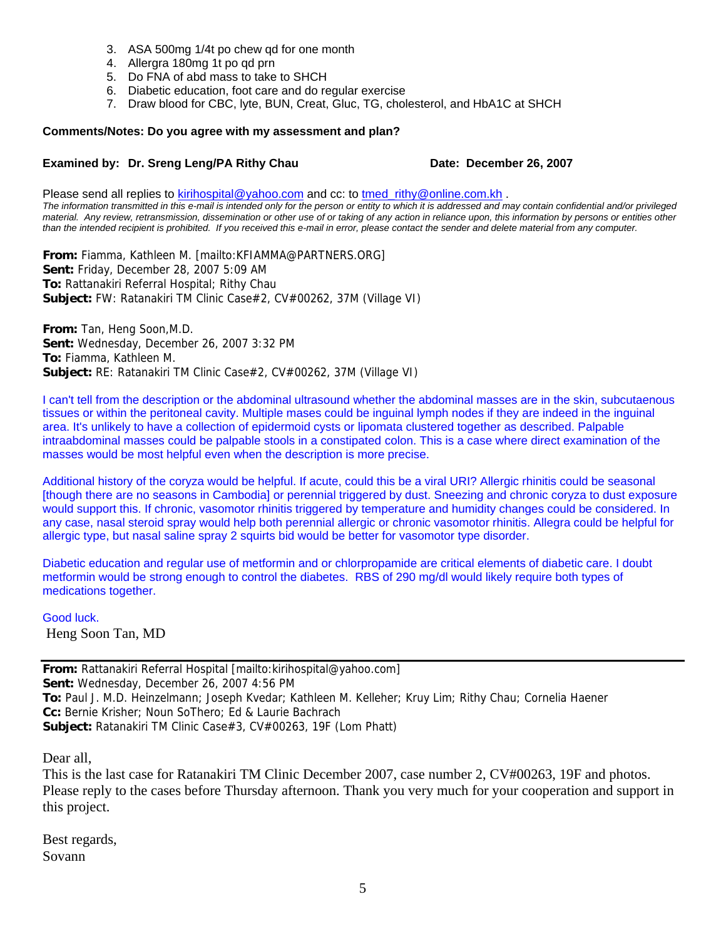- 3. ASA 500mg 1/4t po chew qd for one month
- 4. Allergra 180mg 1t po qd prn
- 5. Do FNA of abd mass to take to SHCH
- 6. Diabetic education, foot care and do regular exercise
- 7. Draw blood for CBC, lyte, BUN, Creat, Gluc, TG, cholesterol, and HbA1C at SHCH

#### **Comments/Notes: Do you agree with my assessment and plan?**

#### **Examined by: Dr. Sreng Leng/PA Rithy Chau <b>Date: December 26, 2007**

Please send all replies to [kirihospital@yahoo.com](mailto:kirihospital@yahoo.com) and cc: to tmed rithy@online.com.kh . *The information transmitted in this e-mail is intended only for the person or entity to which it is addressed and may contain confidential and/or privileged material. Any review, retransmission, dissemination or other use of or taking of any action in reliance upon, this information by persons or entities other than the intended recipient is prohibited. If you received this e-mail in error, please contact the sender and delete material from any computer.*

**From:** Fiamma, Kathleen M. [mailto:KFIAMMA@PARTNERS.ORG] **Sent:** Friday, December 28, 2007 5:09 AM **To:** Rattanakiri Referral Hospital; Rithy Chau **Subject:** FW: Ratanakiri TM Clinic Case#2, CV#00262, 37M (Village VI)

**From:** Tan, Heng Soon,M.D. **Sent:** Wednesday, December 26, 2007 3:32 PM **To:** Fiamma, Kathleen M. **Subject:** RE: Ratanakiri TM Clinic Case#2, CV#00262, 37M (Village VI)

I can't tell from the description or the abdominal ultrasound whether the abdominal masses are in the skin, subcutaenous tissues or within the peritoneal cavity. Multiple mases could be inguinal lymph nodes if they are indeed in the inguinal area. It's unlikely to have a collection of epidermoid cysts or lipomata clustered together as described. Palpable intraabdominal masses could be palpable stools in a constipated colon. This is a case where direct examination of the masses would be most helpful even when the description is more precise.

Additional history of the coryza would be helpful. If acute, could this be a viral URI? Allergic rhinitis could be seasonal [though there are no seasons in Cambodia] or perennial triggered by dust. Sneezing and chronic coryza to dust exposure would support this. If chronic, vasomotor rhinitis triggered by temperature and humidity changes could be considered. In any case, nasal steroid spray would help both perennial allergic or chronic vasomotor rhinitis. Allegra could be helpful for allergic type, but nasal saline spray 2 squirts bid would be better for vasomotor type disorder.

Diabetic education and regular use of metformin and or chlorpropamide are critical elements of diabetic care. I doubt metformin would be strong enough to control the diabetes. RBS of 290 mg/dl would likely require both types of medications together.

Good luck. Heng Soon Tan, MD

**From:** Rattanakiri Referral Hospital [mailto:kirihospital@yahoo.com] **Sent:** Wednesday, December 26, 2007 4:56 PM **To:** Paul J. M.D. Heinzelmann; Joseph Kvedar; Kathleen M. Kelleher; Kruy Lim; Rithy Chau; Cornelia Haener **Cc:** Bernie Krisher; Noun SoThero; Ed & Laurie Bachrach **Subject:** Ratanakiri TM Clinic Case#3, CV#00263, 19F (Lom Phatt)

Dear all,

This is the last case for Ratanakiri TM Clinic December 2007, case number 2, CV#00263, 19F and photos. Please reply to the cases before Thursday afternoon. Thank you very much for your cooperation and support in this project.

Best regards, Sovann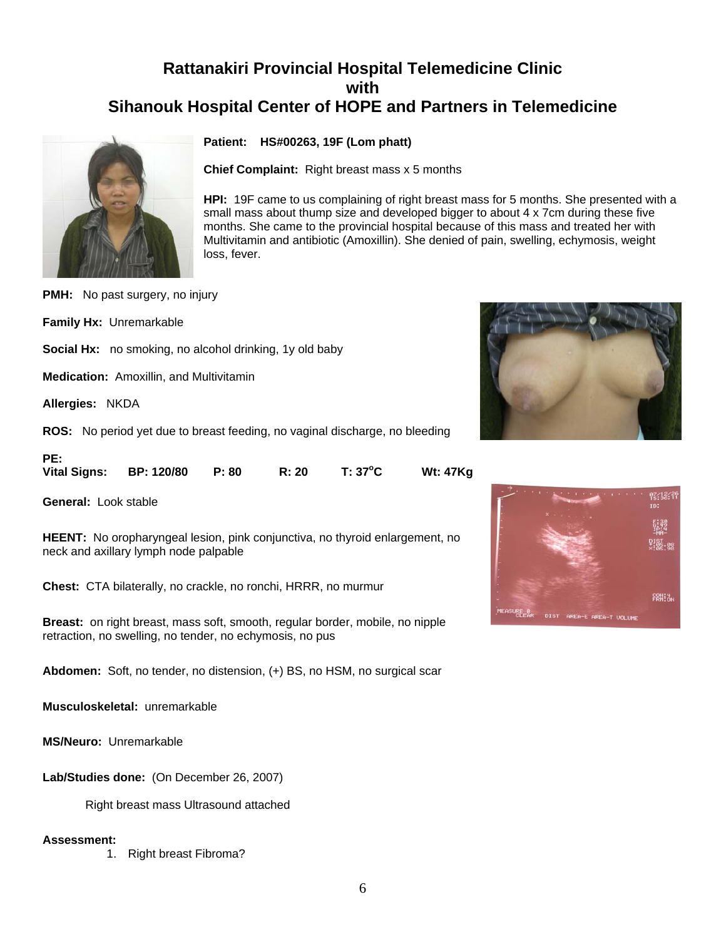### **Rattanakiri Provincial Hospital Telemedicine Clinic with Sihanouk Hospital Center of HOPE and Partners in Telemedicine**



**Patient: HS#00263, 19F (Lom phatt)**

**Chief Complaint:** Right breast mass x 5 months

**HPI:** 19F came to us complaining of right breast mass for 5 months. She presented with a small mass about thump size and developed bigger to about 4 x 7cm during these five months. She came to the provincial hospital because of this mass and treated her with Multivitamin and antibiotic (Amoxillin). She denied of pain, swelling, echymosis, weight loss, fever.

**PMH:** No past surgery, no injury

**Family Hx:** Unremarkable

**Social Hx:** no smoking, no alcohol drinking, 1y old baby

**Medication:** Amoxillin, and Multivitamin

**Allergies:** NKDA

**ROS:** No period yet due to breast feeding, no vaginal discharge, no bleeding

| PE: |                               |       |         |                 |
|-----|-------------------------------|-------|---------|-----------------|
|     | Vital Signs: BP: 120/80 P: 80 | R: 20 | T: 37°C | <b>Wt: 47Kg</b> |

**General:** Look stable

**HEENT:** No oropharyngeal lesion, pink conjunctiva, no thyroid enlargement, no neck and axillary lymph node palpable

**Chest:** CTA bilaterally, no crackle, no ronchi, HRRR, no murmur

**Breast:** on right breast, mass soft, smooth, regular border, mobile, no nipple retraction, no swelling, no tender, no echymosis, no pus

**Abdomen:** Soft, no tender, no distension, (+) BS, no HSM, no surgical scar

**Musculoskeletal:** unremarkable

**MS/Neuro:** Unremarkable

**Lab/Studies done:** (On December 26, 2007)

Right breast mass Ultrasound attached

#### **Assessment:**

1. Right breast Fibroma?



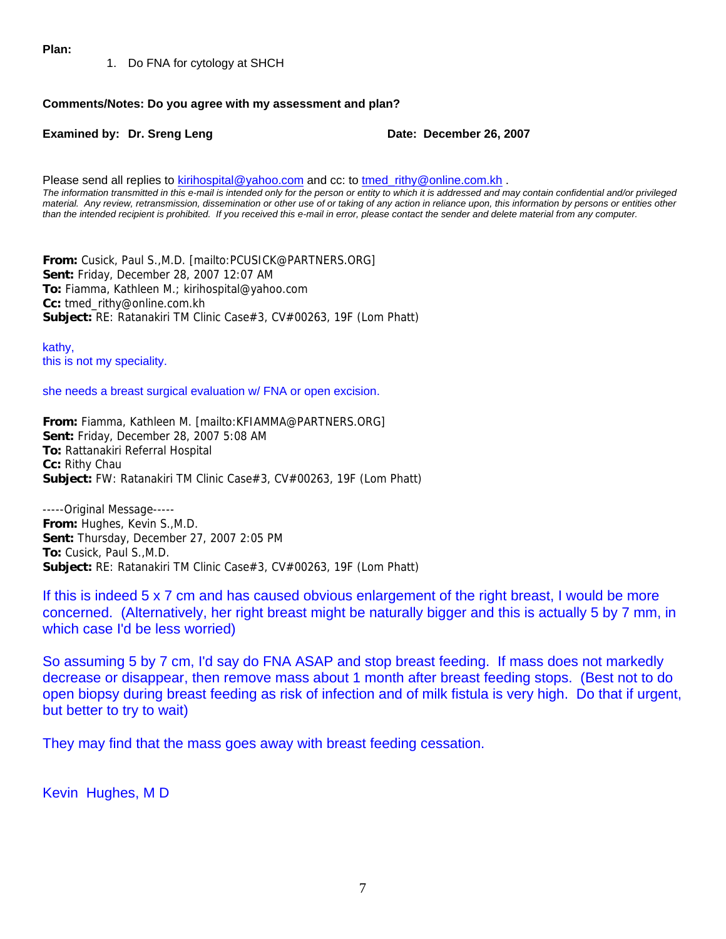**Plan:**

1. Do FNA for cytology at SHCH

#### **Comments/Notes: Do you agree with my assessment and plan?**

**Examined by: Dr. Sreng Leng Date: December 26, 2007** 

Please send all replies to [kirihospital@yahoo.com](mailto:kirihospital@yahoo.com) and cc: to [tmed\\_rithy@online.com.kh](mailto:tmed_rithy@bigpond.com.kh) . *The information transmitted in this e-mail is intended only for the person or entity to which it is addressed and may contain confidential and/or privileged material. Any review, retransmission, dissemination or other use of or taking of any action in reliance upon, this information by persons or entities other than the intended recipient is prohibited. If you received this e-mail in error, please contact the sender and delete material from any computer.*

**From:** Cusick, Paul S.,M.D. [mailto:PCUSICK@PARTNERS.ORG] **Sent:** Friday, December 28, 2007 12:07 AM **To:** Fiamma, Kathleen M.; kirihospital@yahoo.com **Cc:** tmed\_rithy@online.com.kh **Subject:** RE: Ratanakiri TM Clinic Case#3, CV#00263, 19F (Lom Phatt)

kathy, this is not my speciality.

she needs a breast surgical evaluation w/ FNA or open excision.

**From:** Fiamma, Kathleen M. [mailto:KFIAMMA@PARTNERS.ORG] **Sent:** Friday, December 28, 2007 5:08 AM **To:** Rattanakiri Referral Hospital **Cc:** Rithy Chau **Subject:** FW: Ratanakiri TM Clinic Case#3, CV#00263, 19F (Lom Phatt)

-----Original Message----- **From:** Hughes, Kevin S.,M.D. **Sent:** Thursday, December 27, 2007 2:05 PM **To:** Cusick, Paul S.,M.D. **Subject:** RE: Ratanakiri TM Clinic Case#3, CV#00263, 19F (Lom Phatt)

If this is indeed 5 x 7 cm and has caused obvious enlargement of the right breast, I would be more concerned. (Alternatively, her right breast might be naturally bigger and this is actually 5 by 7 mm, in which case I'd be less worried)

So assuming 5 by 7 cm, I'd say do FNA ASAP and stop breast feeding. If mass does not markedly decrease or disappear, then remove mass about 1 month after breast feeding stops. (Best not to do open biopsy during breast feeding as risk of infection and of milk fistula is very high. Do that if urgent, but better to try to wait)

They may find that the mass goes away with breast feeding cessation.

Kevin Hughes, M D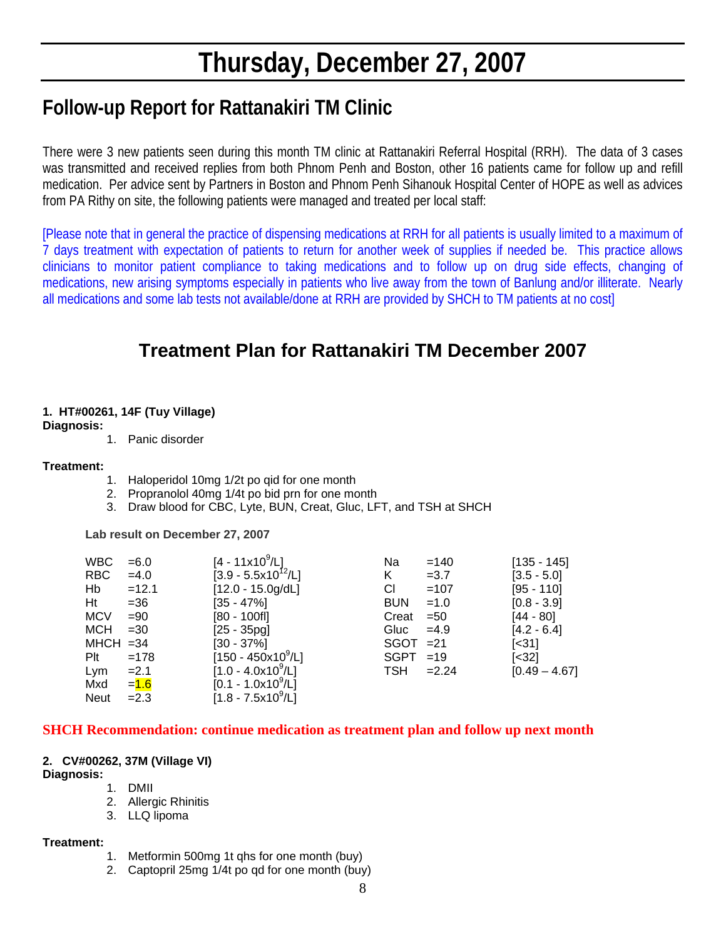# **Thursday, December 27, 2007**

# **Follow-up Report for Rattanakiri TM Clinic**

There were 3 new patients seen during this month TM clinic at Rattanakiri Referral Hospital (RRH). The data of 3 cases was transmitted and received replies from both Phnom Penh and Boston, other 16 patients came for follow up and refill medication. Per advice sent by Partners in Boston and Phnom Penh Sihanouk Hospital Center of HOPE as well as advices from PA Rithy on site, the following patients were managed and treated per local staff:

[Please note that in general the practice of dispensing medications at RRH for all patients is usually limited to a maximum of 7 days treatment with expectation of patients to return for another week of supplies if needed be. This practice allows clinicians to monitor patient compliance to taking medications and to follow up on drug side effects, changing of medications, new arising symptoms especially in patients who live away from the town of Banlung and/or illiterate. Nearly all medications and some lab tests not available/done at RRH are provided by SHCH to TM patients at no cost]

## **Treatment Plan for Rattanakiri TM December 2007**

#### **1. HT#00261, 14F (Tuy Village)**

#### **Diagnosis:**

1. Panic disorder

#### **Treatment:**

- 1. Haloperidol 10mg 1/2t po qid for one month
- 2. Propranolol 40mg 1/4t po bid prn for one month
- 3. Draw blood for CBC, Lyte, BUN, Creat, Gluc, LFT, and TSH at SHCH

 **Lab result on December 27, 2007** 

| <b>WBC</b>  | $= 6.0$ | $[4 - 11 \times 10^9/\text{L}]$  | Na          | $=140$  | $[135 - 145]$               |
|-------------|---------|----------------------------------|-------------|---------|-----------------------------|
| RBC         | $=4.0$  | $[3.9 - 5.5 \times 10^{12} / L]$ | K           | $=3.7$  | $[3.5 - 5.0]$               |
| Hb          | $=12.1$ | $[12.0 - 15.0g/dL]$              | CI          | $=107$  | $[95 - 110]$                |
| Ht          | $= 36$  | $[35 - 47\%]$                    | <b>BUN</b>  | $=1.0$  | $[0.8 - 3.9]$               |
| <b>MCV</b>  | $= 90$  | $[80 - 100f]$                    | Creat       | $=50$   | $[44 - 80]$                 |
| <b>MCH</b>  | $=30$   | $[25 - 35pg]$                    | Gluc        | $=4.9$  | $[4.2 - 6.4]$               |
| $MHCH = 34$ |         | $[30 - 37\%]$                    | $SGOT = 21$ |         | $\left[ \text{<}31 \right]$ |
| Plt         | $=178$  | $[150 - 450x10^9/L]$             | <b>SGPT</b> | $=19$   | $[<32]$                     |
| Lym         | $=2.1$  | $[1.0 - 4.0x10^9/L]$             | TSH         | $=2.24$ | $[0.49 - 4.67]$             |
| Mxd         | $= 1.6$ | $[0.1 - 1.0x10^9/L]$             |             |         |                             |
| <b>Neut</b> | $=2.3$  | $[1.8 - 7.5x109/L]$              |             |         |                             |
|             |         |                                  |             |         |                             |

#### **SHCH Recommendation: continue medication as treatment plan and follow up next month**

#### **2. CV#00262, 37M (Village VI)**

#### **Diagnosis:**

- 1. DMII
- 2. Allergic Rhinitis
- 3. LLQ lipoma

#### **Treatment:**

- 1. Metformin 500mg 1t qhs for one month (buy)
- 2. Captopril 25mg 1/4t po qd for one month (buy)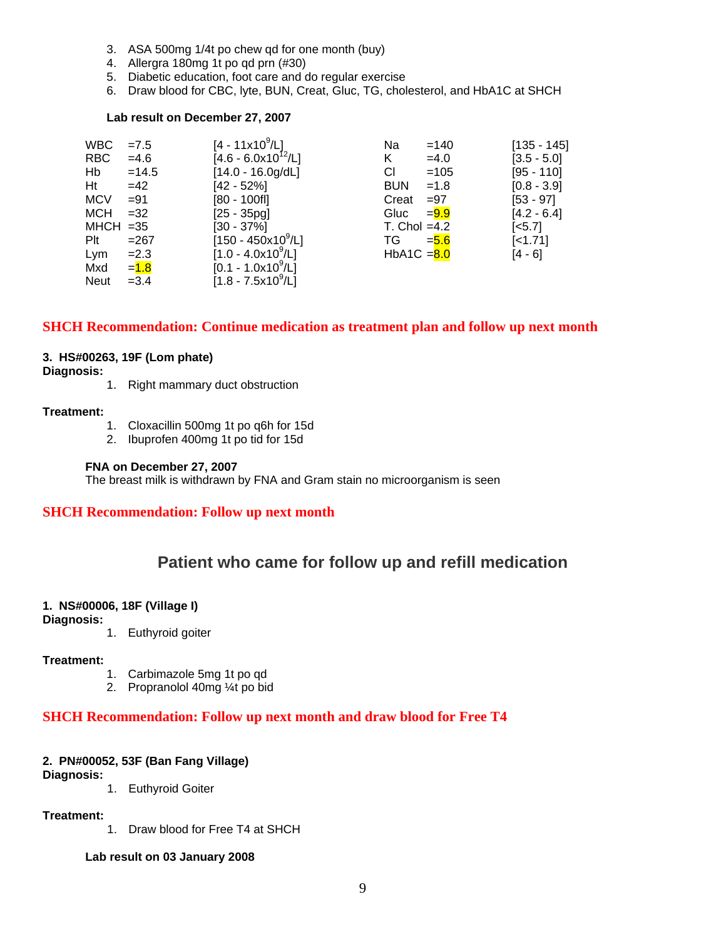- 3. ASA 500mg 1/4t po chew qd for one month (buy)
- 4. Allergra 180mg 1t po qd prn (#30)
- 5. Diabetic education, foot care and do regular exercise
- 6. Draw blood for CBC, lyte, BUN, Creat, Gluc, TG, cholesterol, and HbA1C at SHCH

#### **Lab result on December 27, 2007**

| <b>WBC</b>  | $=7.5$  | $[4 - 11 \times 10^9/L]$     | Na             | $=140$  | $[135 - 145]$         |
|-------------|---------|------------------------------|----------------|---------|-----------------------|
| <b>RBC</b>  | $=4.6$  | $[4.6 - 6.0x10^{12}/L]$      | Κ              | $=4.0$  | $[3.5 - 5.0]$         |
| Hb          | $=14.5$ | $[14.0 - 16.0g/dL]$          | СI             | $=105$  | [95 - 110]            |
| Ht          | $=42$   | $[42 - 52%]$                 | <b>BUN</b>     | $=1.8$  | $[0.8 - 3.9]$         |
| <b>MCV</b>  | $= 91$  | $[80 - 100$ fl]              | Creat          | $= 97$  | $[53 - 97]$           |
| <b>MCH</b>  | $=32$   | $[25 - 35pg]$                | Gluc           | $= 9.9$ | $[4.2 - 6.4]$         |
| $MHCH = 35$ |         | $[30 - 37\%]$                | $T.$ Chol =4.2 |         | $\left[ <5.7 \right]$ |
| Plt         | $= 267$ | $[150 - 450 \times 10^9$ /L] | TG             | $= 5.6$ | $[-1.71]$             |
| Lym         | $=2.3$  | $[1.0 - 4.0x109/L]$          | HbA1C $= 8.0$  |         | $[4 - 6]$             |
| Mxd         | $= 1.8$ | $[0.1 - 1.0x10^9/L]$         |                |         |                       |
| <b>Neut</b> | $=3.4$  | $[1.8 - 7.5x10^9/L]$         |                |         |                       |

#### **SHCH Recommendation: Continue medication as treatment plan and follow up next month**

#### **3. HS#00263, 19F (Lom phate)**

#### **Diagnosis:**

1. Right mammary duct obstruction

#### **Treatment:**

- 1. Cloxacillin 500mg 1t po q6h for 15d
- 2. Ibuprofen 400mg 1t po tid for 15d

#### **FNA on December 27, 2007**

The breast milk is withdrawn by FNA and Gram stain no microorganism is seen

#### **SHCH Recommendation: Follow up next month**

### **Patient who came for follow up and refill medication**

#### **1. NS#00006, 18F (Village I)**

**Diagnosis:** 

1. Euthyroid goiter

#### **Treatment:**

- 1. Carbimazole 5mg 1t po qd
- 2. Propranolol 40mg ¼t po bid

#### **SHCH Recommendation: Follow up next month and draw blood for Free T4**

#### **2. PN#00052, 53F (Ban Fang Village)**

**Diagnosis:** 

1. Euthyroid Goiter

#### **Treatment:**

1. Draw blood for Free T4 at SHCH

#### **Lab result on 03 January 2008**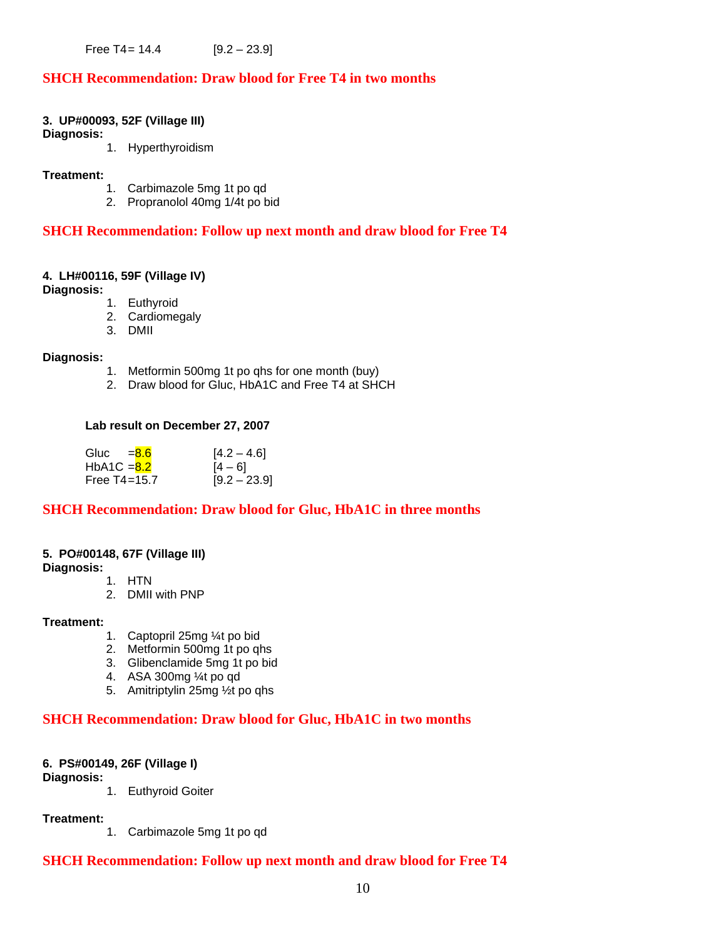Free  $T4 = 14.4$  [9.2 – 23.9]

#### **SHCH Recommendation: Draw blood for Free T4 in two months**

#### **3. UP#00093, 52F (Village III)**

**Diagnosis:** 

1. Hyperthyroidism

#### **Treatment:**

- 1. Carbimazole 5mg 1t po qd
- 2. Propranolol 40mg 1/4t po bid

#### **SHCH Recommendation: Follow up next month and draw blood for Free T4**

#### **4. LH#00116, 59F (Village IV)**

**Diagnosis:** 

- 1. Euthyroid
- 2. Cardiomegaly
- 3. DMII

#### **Diagnosis:**

- 1. Metformin 500mg 1t po qhs for one month (buy)
- 2. Draw blood for Gluc, HbA1C and Free T4 at SHCH

#### **Lab result on December 27, 2007**

| Gluc = <mark>8.6</mark>  | $[4.2 - 4.6]$  |
|--------------------------|----------------|
| HbA1C = <mark>8.2</mark> | $[4 - 6]$      |
| Free T4=15.7             | $[9.2 - 23.9]$ |

#### **SHCH Recommendation: Draw blood for Gluc, HbA1C in three months**

#### **5. PO#00148, 67F (Village III)**

**Diagnosis:** 

- 1. HTN
- 2. DMII with PNP

#### **Treatment:**

- 1. Captopril 25mg ¼t po bid
- 2. Metformin 500mg 1t po qhs
- 3. Glibenclamide 5mg 1t po bid
- 4. ASA 300mg ¼t po qd
- 5. Amitriptylin 25mg ½t po qhs

#### **SHCH Recommendation: Draw blood for Gluc, HbA1C in two months**

#### **6. PS#00149, 26F (Village I)**

#### **Diagnosis:**

1. Euthyroid Goiter

#### **Treatment:**

1. Carbimazole 5mg 1t po qd

#### **SHCH Recommendation: Follow up next month and draw blood for Free T4**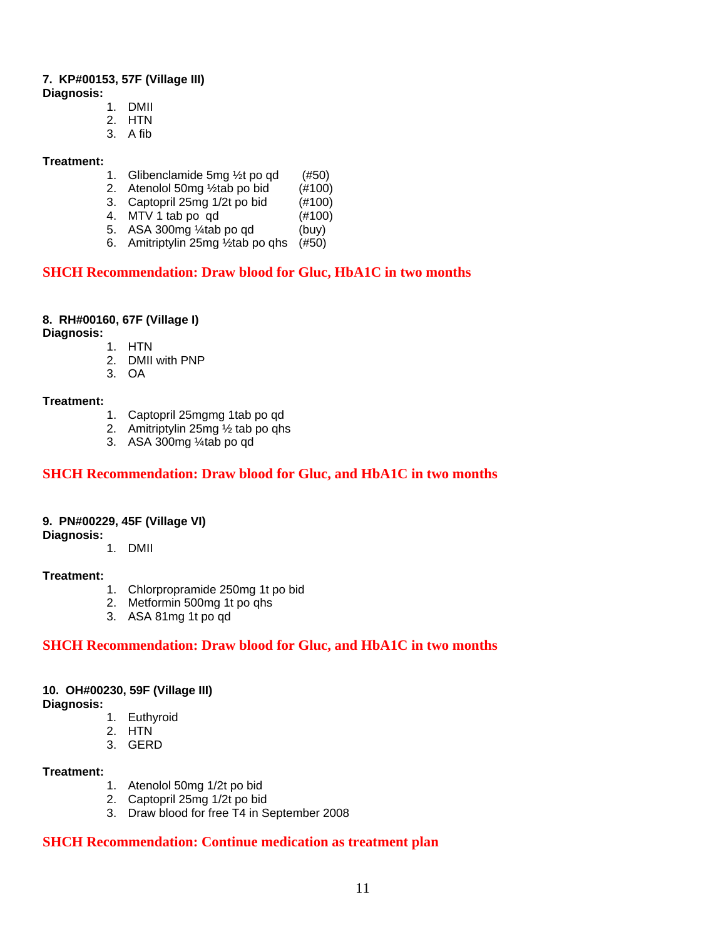#### **7. KP#00153, 57F (Village III)**

- **Diagnosis:** 
	- 1. DMII
	- 2. HTN
	- 3. A fib

#### **Treatment:**

- 1. Glibenclamide 5mg  $\frac{1}{2}$ t po qd (#50)
- 2. Atenolol 50mg  $\frac{1}{2}$ tab po bid  $(\frac{\#100}{4100})$ <br>3. Captopril 25mg 1/2t po bid  $(\frac{\#100}{4100})$
- 3. Captopril 25mg 1/2t po bid
- 4. MTV 1 tab po qd (#100)
- 5. ASA 300 $mg \frac{1}{4}$ tab po qd (buy)
- 6. Amitriptylin 25mg ½tab po qhs (#50)

#### **SHCH Recommendation: Draw blood for Gluc, HbA1C in two months**

#### **8. RH#00160, 67F (Village I)**

**Diagnosis:** 

- 1. HTN
	- 2. DMII with PNP
	- 3. OA

#### **Treatment:**

- 1. Captopril 25mgmg 1tab po qd
- 2. Amitriptylin 25mg ½ tab po qhs
- 3. ASA 300mg ¼tab po qd

#### **SHCH Recommendation: Draw blood for Gluc, and HbA1C in two months**

#### **9. PN#00229, 45F (Village VI)**

**Diagnosis:**

1. DMII

#### **Treatment:**

- 1. Chlorpropramide 250mg 1t po bid
- 2. Metformin 500mg 1t po qhs
- 3. ASA 81mg 1t po qd

#### **SHCH Recommendation: Draw blood for Gluc, and HbA1C in two months**

#### **10. OH#00230, 59F (Village III)**

**Diagnosis:**

- 1. Euthyroid
- 2. HTN
- 3. GERD

#### **Treatment:**

- 1. Atenolol 50mg 1/2t po bid
- 2. Captopril 25mg 1/2t po bid
- 3. Draw blood for free T4 in September 2008

#### **SHCH Recommendation: Continue medication as treatment plan**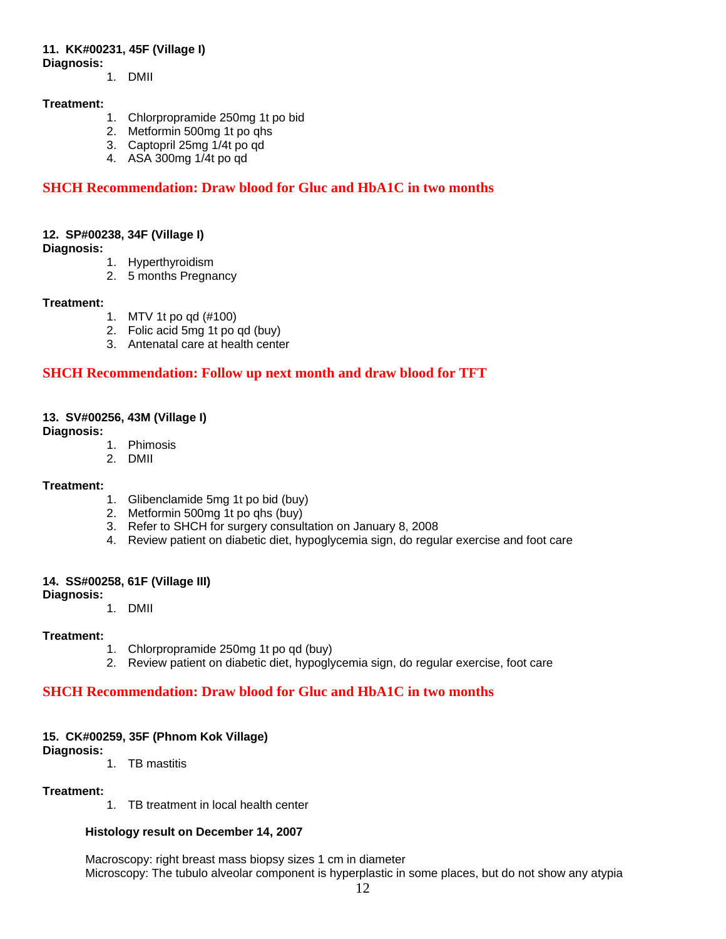#### **11. KK#00231, 45F (Village I)**

**Diagnosis:**

1. DMII

#### **Treatment:**

- 1. Chlorpropramide 250mg 1t po bid
- 2. Metformin 500mg 1t po qhs
- 3. Captopril 25mg 1/4t po qd
- 4. ASA 300mg 1/4t po qd

#### **SHCH Recommendation: Draw blood for Gluc and HbA1C in two months**

#### **12. SP#00238, 34F (Village I)**

**Diagnosis:**

- 1. Hyperthyroidism
- 2. 5 months Pregnancy

#### **Treatment:**

- 1. MTV 1t po qd (#100)
- 2. Folic acid 5mg 1t po qd (buy)
- 3. Antenatal care at health center

#### **SHCH Recommendation: Follow up next month and draw blood for TFT**

#### **13. SV#00256, 43M (Village I)**

#### **Diagnosis:**

- 1. Phimosis
- 2. DMII

#### **Treatment:**

- 1. Glibenclamide 5mg 1t po bid (buy)
- 2. Metformin 500mg 1t po qhs (buy)
- 3. Refer to SHCH for surgery consultation on January 8, 2008
- 4. Review patient on diabetic diet, hypoglycemia sign, do regular exercise and foot care

#### **14. SS#00258, 61F (Village III)**

#### **Diagnosis:**

1. DMII

#### **Treatment:**

- 1. Chlorpropramide 250mg 1t po qd (buy)
- 2. Review patient on diabetic diet, hypoglycemia sign, do regular exercise, foot care

#### **SHCH Recommendation: Draw blood for Gluc and HbA1C in two months**

#### **15. CK#00259, 35F (Phnom Kok Village)**

**Diagnosis:**

1. TB mastitis

#### **Treatment:**

1. TB treatment in local health center

#### **Histology result on December 14, 2007**

Macroscopy: right breast mass biopsy sizes 1 cm in diameter Microscopy: The tubulo alveolar component is hyperplastic in some places, but do not show any atypia